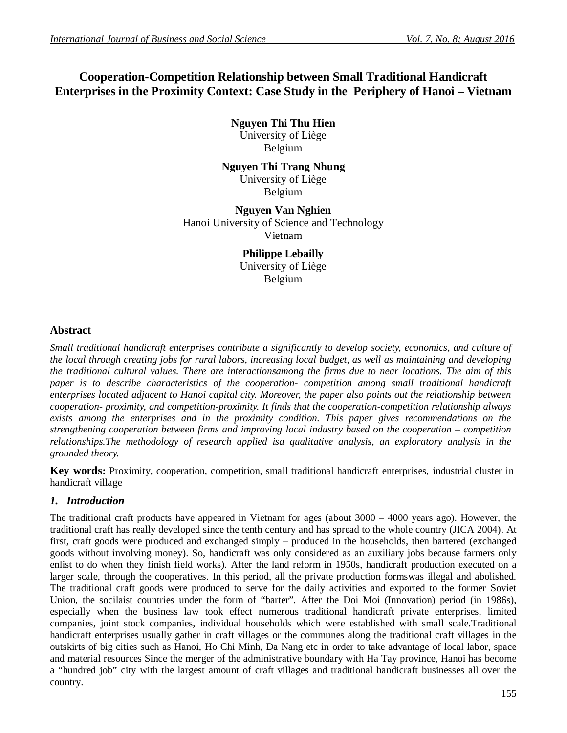# **Cooperation-Competition Relationship between Small Traditional Handicraft Enterprises in the Proximity Context: Case Study in the Periphery of Hanoi – Vietnam**

**Nguyen Thi Thu Hien**

University of Liège Belgium

**Nguyen Thi Trang Nhung** University of Liège Belgium

**Nguyen Van Nghien** Hanoi University of Science and Technology Vietnam

> **Philippe Lebailly** University of Liège Belgium

# **Abstract**

*Small traditional handicraft enterprises contribute a significantly to develop society, economics, and culture of the local through creating jobs for rural labors, increasing local budget, as well as maintaining and developing the traditional cultural values. There are interactionsamong the firms due to near locations. The aim of this paper is to describe characteristics of the cooperation- competition among small traditional handicraft enterprises located adjacent to Hanoi capital city. Moreover, the paper also points out the relationship between cooperation- proximity, and competition-proximity. It finds that the cooperation-competition relationship always exists among the enterprises and in the proximity condition. This paper gives recommendations on the strengthening cooperation between firms and improving local industry based on the cooperation – competition relationships.The methodology of research applied isa qualitative analysis, an exploratory analysis in the grounded theory.*

**Key words:** Proximity, cooperation, competition, small traditional handicraft enterprises, industrial cluster in handicraft village

# *1. Introduction*

The traditional craft products have appeared in Vietnam for ages (about 3000 – 4000 years ago). However, the traditional craft has really developed since the tenth century and has spread to the whole country (JICA 2004). At first, craft goods were produced and exchanged simply – produced in the households, then bartered (exchanged goods without involving money). So, handicraft was only considered as an auxiliary jobs because farmers only enlist to do when they finish field works). After the land reform in 1950s, handicraft production executed on a larger scale, through the cooperatives. In this period, all the private production formswas illegal and abolished. The traditional craft goods were produced to serve for the daily activities and exported to the former Soviet Union, the socilaist countries under the form of "barter". After the Doi Moi (Innovation) period (in 1986s), especially when the business law took effect numerous traditional handicraft private enterprises, limited companies, joint stock companies, individual households which were established with small scale.Traditional handicraft enterprises usually gather in craft villages or the communes along the traditional craft villages in the outskirts of big cities such as Hanoi, Ho Chi Minh, Da Nang etc in order to take advantage of local labor, space and material resources Since the merger of the administrative boundary with Ha Tay province, Hanoi has become a "hundred job" city with the largest amount of craft villages and traditional handicraft businesses all over the country.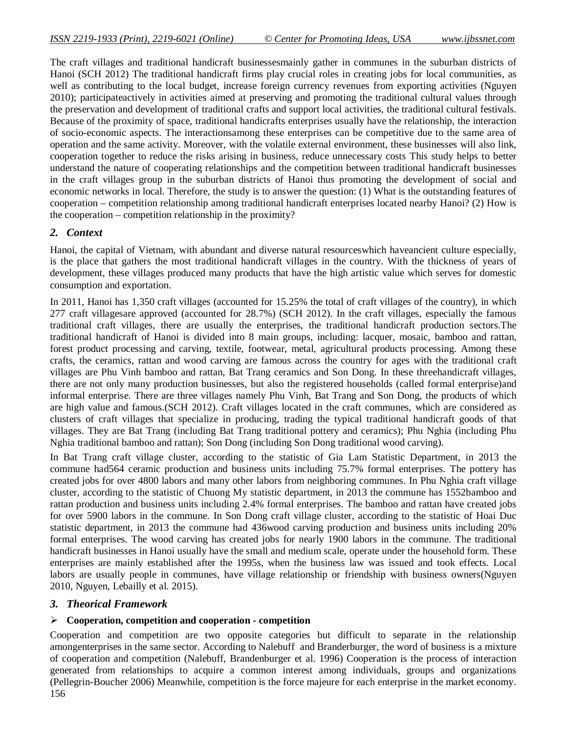The craft villages and traditional handicraft businessesmainly gather in communes in the suburban districts of Hanoi (SCH 2012) The traditional handicraft firms play crucial roles in creating jobs for local communities, as well as contributing to the local budget, increase foreign currency revenues from exporting activities (Nguyen 2010); participateactively in activities aimed at preserving and promoting the traditional cultural values through the preservation and development of traditional crafts and support local activities, the traditional cultural festivals. Because of the proximity of space, traditional handicrafts enterprises usually have the relationship, the interaction of socio-economic aspects. The interactionsamong these enterprises can be competitive due to the same area of operation and the same activity. Moreover, with the volatile external environment, these businesses will also link, cooperation together to reduce the risks arising in business, reduce unnecessary costs This study helps to better understand the nature of cooperating relationships and the competition between traditional handicraft businesses in the craft villages group in the suburban districts of Hanoi thus promoting the development of social and economic networks in local. Therefore, the study is to answer the question: (1) What is the outstanding features of cooperation – competition relationship among traditional handicraft enterprises located nearby Hanoi? (2) How is the cooperation – competition relationship in the proximity?

# *2. Context*

Hanoi, the capital of Vietnam, with abundant and diverse natural resourceswhich haveancient culture especially, is the place that gathers the most traditional handicraft villages in the country. With the thickness of years of development, these villages produced many products that have the high artistic value which serves for domestic consumption and exportation.

In 2011, Hanoi has 1,350 craft villages (accounted for 15.25% the total of craft villages of the country), in which 277 craft villagesare approved (accounted for 28.7%) (SCH 2012). In the craft villages, especially the famous traditional craft villages, there are usually the enterprises, the traditional handicraft production sectors.The traditional handicraft of Hanoi is divided into 8 main groups, including: lacquer, mosaic, bamboo and rattan, forest product processing and carving, textile, footwear, metal, agricultural products processing. Among these crafts, the ceramics, rattan and wood carving are famous across the country for ages with the traditional craft villages are Phu Vinh bamboo and rattan, Bat Trang ceramics and Son Dong. In these threehandicraft villages, there are not only many production businesses, but also the registered households (called formal enterprise)and informal enterprise. There are three villages namely Phu Vinh, Bat Trang and Son Dong, the products of which are high value and famous.(SCH 2012). Craft villages located in the craft communes, which are considered as clusters of craft villages that specialize in producing, trading the typical traditional handicraft goods of that villages. They are Bat Trang (including Bat Trang traditional pottery and ceramics); Phu Nghia (including Phu Nghia traditional bamboo and rattan); Son Dong (including Son Dong traditional wood carving).

In Bat Trang craft village cluster, according to the statistic of Gia Lam Statistic Department, in 2013 the commune had564 ceramic production and business units including 75.7% formal enterprises. The pottery has created jobs for over 4800 labors and many other labors from neighboring communes. In Phu Nghia craft village cluster, according to the statistic of Chuong My statistic department, in 2013 the commune has 1552bamboo and rattan production and business units including 2.4% formal enterprises. The bamboo and rattan have created jobs for over 5900 labors in the commune. In Son Dong craft village cluster, according to the statistic of Hoai Duc statistic department, in 2013 the commune had 436wood carving production and business units including 20% formal enterprises. The wood carving has created jobs for nearly 1900 labors in the commune. The traditional handicraft businesses in Hanoi usually have the small and medium scale, operate under the household form. These enterprises are mainly established after the 1995s, when the business law was issued and took effects. Local labors are usually people in communes, have village relationship or friendship with business owners(Nguyen 2010, Nguyen, Lebailly et al. 2015).

### *3. Theorical Framework*

# **Cooperation, competition and cooperation - competition**

156 Cooperation and competition are two opposite categories but difficult to separate in the relationship amongenterprises in the same sector. According to Nalebuff and Branderburger, the word of business is a mixture of cooperation and competition (Nalebuff, Brandenburger et al. 1996) Cooperation is the process of interaction generated from relationships to acquire a common interest among individuals, groups and organizations (Pellegrin-Boucher 2006) Meanwhile, competition is the force majeure for each enterprise in the market economy.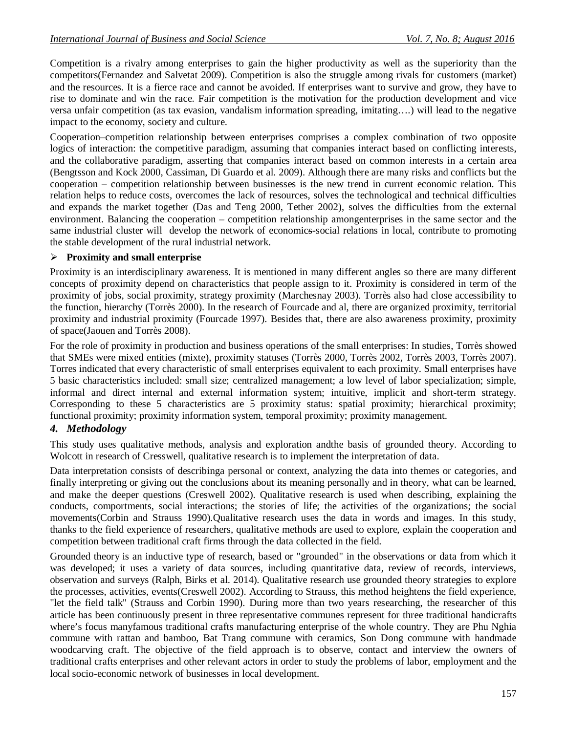Competition is a rivalry among enterprises to gain the higher productivity as well as the superiority than the competitors(Fernandez and Salvetat 2009). Competition is also the struggle among rivals for customers (market) and the resources. It is a fierce race and cannot be avoided. If enterprises want to survive and grow, they have to rise to dominate and win the race. Fair competition is the motivation for the production development and vice versa unfair competition (as tax evasion, vandalism information spreading, imitating….) will lead to the negative impact to the economy, society and culture.

Cooperation–competition relationship between enterprises comprises a complex combination of two opposite logics of interaction: the competitive paradigm, assuming that companies interact based on conflicting interests, and the collaborative paradigm, asserting that companies interact based on common interests in a certain area (Bengtsson and Kock 2000, Cassiman, Di Guardo et al. 2009). Although there are many risks and conflicts but the cooperation – competition relationship between businesses is the new trend in current economic relation. This relation helps to reduce costs, overcomes the lack of resources, solves the technological and technical difficulties and expands the market together (Das and Teng 2000, Tether 2002), solves the difficulties from the external environment. Balancing the cooperation – competition relationship amongenterprises in the same sector and the same industrial cluster will develop the network of economics-social relations in local, contribute to promoting the stable development of the rural industrial network.

### **Proximity and small enterprise**

Proximity is an interdisciplinary awareness. It is mentioned in many different angles so there are many different concepts of proximity depend on characteristics that people assign to it. Proximity is considered in term of the proximity of jobs, social proximity, strategy proximity (Marchesnay 2003). Torrès also had close accessibility to the function, hierarchy (Torrès 2000). In the research of Fourcade and al, there are organized proximity, territorial proximity and industrial proximity (Fourcade 1997). Besides that, there are also awareness proximity, proximity of space(Jaouen and Torrès 2008).

For the role of proximity in production and business operations of the small enterprises: In studies, Torrès showed that SMEs were mixed entities (mixte), proximity statuses (Torrès 2000, Torrès 2002, Torrès 2003, Torrès 2007). Torres indicated that every characteristic of small enterprises equivalent to each proximity. Small enterprises have 5 basic characteristics included: small size; centralized management; a low level of labor specialization; simple, informal and direct internal and external information system; intuitive, implicit and short-term strategy. Corresponding to these 5 characteristics are 5 proximity status: spatial proximity; hierarchical proximity; functional proximity; proximity information system, temporal proximity; proximity management.

# *4. Methodology*

This study uses qualitative methods, analysis and exploration andthe basis of grounded theory. According to Wolcott in research of Cresswell, qualitative research is to implement the interpretation of data.

Data interpretation consists of describinga personal or context, analyzing the data into themes or categories, and finally interpreting or giving out the conclusions about its meaning personally and in theory, what can be learned, and make the deeper questions (Creswell 2002). Qualitative research is used when describing, explaining the conducts, comportments, social interactions; the stories of life; the activities of the organizations; the social movements(Corbin and Strauss 1990).Qualitative research uses the data in words and images. In this study, thanks to the field experience of researchers, qualitative methods are used to explore, explain the cooperation and competition between traditional craft firms through the data collected in the field.

Grounded theory is an inductive type of research, based or "grounded" in the observations or data from which it was developed; it uses a variety of data sources, including quantitative data, review of records, interviews, observation and surveys (Ralph, Birks et al. 2014). Qualitative research use grounded theory strategies to explore the processes, activities, events(Creswell 2002). According to Strauss, this method heightens the field experience, "let the field talk" (Strauss and Corbin 1990). During more than two years researching, the researcher of this article has been continuously present in three representative communes represent for three traditional handicrafts where's focus manyfamous traditional crafts manufacturing enterprise of the whole country. They are Phu Nghia commune with rattan and bamboo, Bat Trang commune with ceramics, Son Dong commune with handmade woodcarving craft. The objective of the field approach is to observe, contact and interview the owners of traditional crafts enterprises and other relevant actors in order to study the problems of labor, employment and the local socio-economic network of businesses in local development.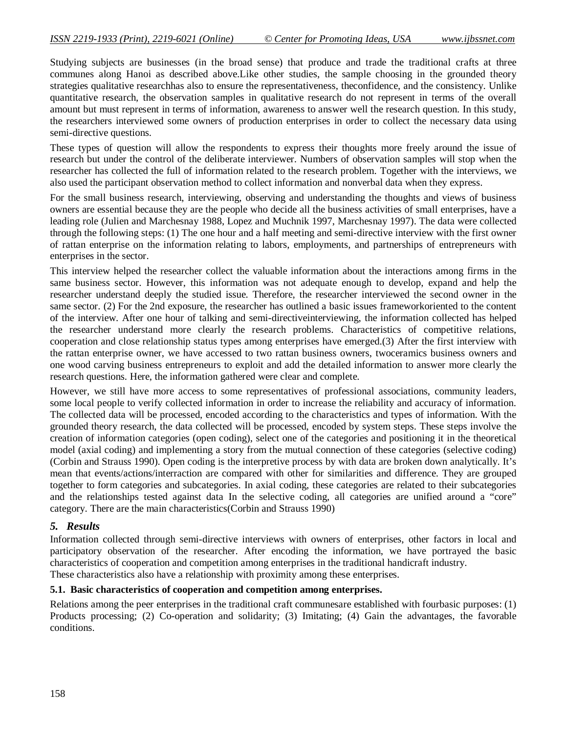Studying subjects are businesses (in the broad sense) that produce and trade the traditional crafts at three communes along Hanoi as described above.Like other studies, the sample choosing in the grounded theory strategies qualitative researchhas also to ensure the representativeness, theconfidence, and the consistency. Unlike quantitative research, the observation samples in qualitative research do not represent in terms of the overall amount but must represent in terms of information, awareness to answer well the research question. In this study, the researchers interviewed some owners of production enterprises in order to collect the necessary data using semi-directive questions.

These types of question will allow the respondents to express their thoughts more freely around the issue of research but under the control of the deliberate interviewer. Numbers of observation samples will stop when the researcher has collected the full of information related to the research problem. Together with the interviews, we also used the participant observation method to collect information and nonverbal data when they express.

For the small business research, interviewing, observing and understanding the thoughts and views of business owners are essential because they are the people who decide all the business activities of small enterprises, have a leading role (Julien and Marchesnay 1988, Lopez and Muchnik 1997, Marchesnay 1997). The data were collected through the following steps: (1) The one hour and a half meeting and semi-directive interview with the first owner of rattan enterprise on the information relating to labors, employments, and partnerships of entrepreneurs with enterprises in the sector.

This interview helped the researcher collect the valuable information about the interactions among firms in the same business sector. However, this information was not adequate enough to develop, expand and help the researcher understand deeply the studied issue. Therefore, the researcher interviewed the second owner in the same sector. (2) For the 2nd exposure, the researcher has outlined a basic issues frameworkoriented to the content of the interview. After one hour of talking and semi-directiveinterviewing, the information collected has helped the researcher understand more clearly the research problems. Characteristics of competitive relations, cooperation and close relationship status types among enterprises have emerged.(3) After the first interview with the rattan enterprise owner, we have accessed to two rattan business owners, twoceramics business owners and one wood carving business entrepreneurs to exploit and add the detailed information to answer more clearly the research questions. Here, the information gathered were clear and complete.

However, we still have more access to some representatives of professional associations, community leaders, some local people to verify collected information in order to increase the reliability and accuracy of information. The collected data will be processed, encoded according to the characteristics and types of information. With the grounded theory research, the data collected will be processed, encoded by system steps. These steps involve the creation of information categories (open coding), select one of the categories and positioning it in the theoretical model (axial coding) and implementing a story from the mutual connection of these categories (selective coding) (Corbin and Strauss 1990). Open coding is the interpretive process by with data are broken down analytically. It's mean that events/actions/interraction are compared with other for similarities and difference. They are grouped together to form categories and subcategories. In axial coding, these categories are related to their subcategories and the relationships tested against data In the selective coding, all categories are unified around a "core" category. There are the main characteristics(Corbin and Strauss 1990)

#### *5. Results*

Information collected through semi-directive interviews with owners of enterprises, other factors in local and participatory observation of the researcher. After encoding the information, we have portrayed the basic characteristics of cooperation and competition among enterprises in the traditional handicraft industry. These characteristics also have a relationship with proximity among these enterprises.

#### **5.1. Basic characteristics of cooperation and competition among enterprises.**

Relations among the peer enterprises in the traditional craft communesare established with fourbasic purposes: (1) Products processing; (2) Co-operation and solidarity; (3) Imitating; (4) Gain the advantages, the favorable conditions.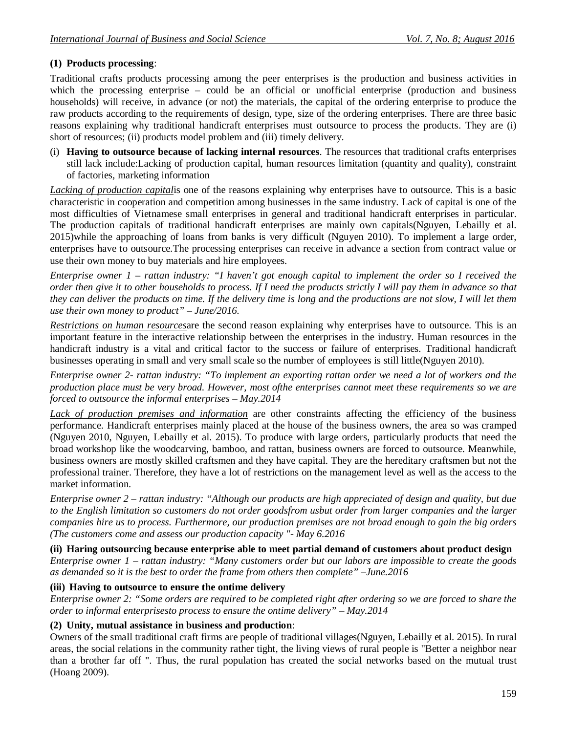# **(1) Products processing**:

Traditional crafts products processing among the peer enterprises is the production and business activities in which the processing enterprise – could be an official or unofficial enterprise (production and business households) will receive, in advance (or not) the materials, the capital of the ordering enterprise to produce the raw products according to the requirements of design, type, size of the ordering enterprises. There are three basic reasons explaining why traditional handicraft enterprises must outsource to process the products. They are (i) short of resources; (ii) products model problem and (iii) timely delivery.

(i) **Having to outsource because of lacking internal resources**. The resources that traditional crafts enterprises still lack include:Lacking of production capital, human resources limitation (quantity and quality), constraint of factories, marketing information

*Lacking of production capital*is one of the reasons explaining why enterprises have to outsource. This is a basic characteristic in cooperation and competition among businesses in the same industry. Lack of capital is one of the most difficulties of Vietnamese small enterprises in general and traditional handicraft enterprises in particular. The production capitals of traditional handicraft enterprises are mainly own capitals(Nguyen, Lebailly et al. 2015)while the approaching of loans from banks is very difficult (Nguyen 2010). To implement a large order, enterprises have to outsource.The processing enterprises can receive in advance a section from contract value or use their own money to buy materials and hire employees.

*Enterprise owner 1 – rattan industry: "I haven't got enough capital to implement the order so I received the order then give it to other households to process. If I need the products strictly I will pay them in advance so that they can deliver the products on time. If the delivery time is long and the productions are not slow, I will let them use their own money to product" – June/2016.*

*Restrictions on human resources*are the second reason explaining why enterprises have to outsource. This is an important feature in the interactive relationship between the enterprises in the industry. Human resources in the handicraft industry is a vital and critical factor to the success or failure of enterprises. Traditional handicraft businesses operating in small and very small scale so the number of employees is still little(Nguyen 2010).

*Enterprise owner 2- rattan industry: "To implement an exporting rattan order we need a lot of workers and the production place must be very broad. However, most ofthe enterprises cannot meet these requirements so we are forced to outsource the informal enterprises – May.2014*

*Lack of production premises and information* are other constraints affecting the efficiency of the business performance. Handicraft enterprises mainly placed at the house of the business owners, the area so was cramped (Nguyen 2010, Nguyen, Lebailly et al. 2015). To produce with large orders, particularly products that need the broad workshop like the woodcarving, bamboo, and rattan, business owners are forced to outsource. Meanwhile, business owners are mostly skilled craftsmen and they have capital. They are the hereditary craftsmen but not the professional trainer. Therefore, they have a lot of restrictions on the management level as well as the access to the market information.

*Enterprise owner 2 – rattan industry: "Although our products are high appreciated of design and quality, but due to the English limitation so customers do not order goodsfrom usbut order from larger companies and the larger companies hire us to process. Furthermore, our production premises are not broad enough to gain the big orders (The customers come and assess our production capacity "- May 6.2016*

**(ii) Haring outsourcing because enterprise able to meet partial demand of customers about product design** *Enterprise owner 1 – rattan industry: "Many customers order but our labors are impossible to create the goods as demanded so it is the best to order the frame from others then complete" –June.2016*

### **(iii) Having to outsource to ensure the ontime delivery**

*Enterprise owner 2: "Some orders are required to be completed right after ordering so we are forced to share the order to informal enterprisesto process to ensure the ontime delivery" – May.2014*

### **(2) Unity, mutual assistance in business and production**:

Owners of the small traditional craft firms are people of traditional villages(Nguyen, Lebailly et al. 2015). In rural areas, the social relations in the community rather tight, the living views of rural people is "Better a neighbor near than a brother far off ". Thus, the rural population has created the social networks based on the mutual trust (Hoang 2009).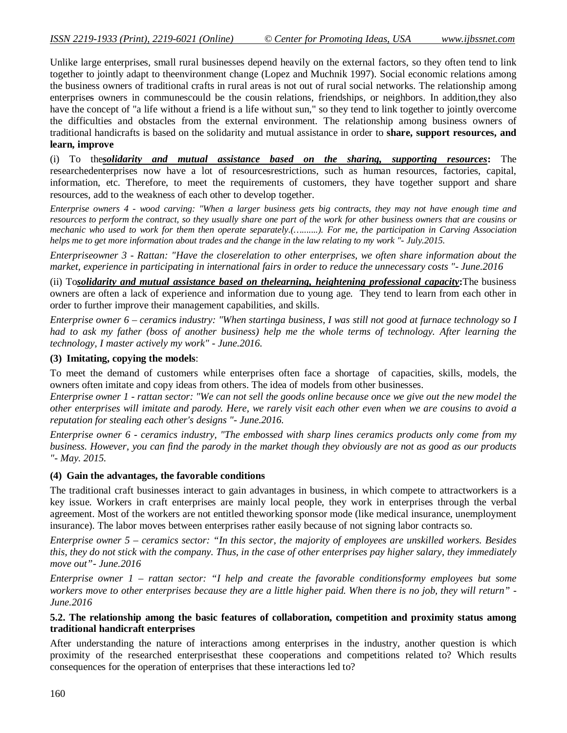Unlike large enterprises, small rural businesses depend heavily on the external factors, so they often tend to link together to jointly adapt to theenvironment change (Lopez and Muchnik 1997). Social economic relations among the business owners of traditional crafts in rural areas is not out of rural social networks. The relationship among enterprises owners in communescould be the cousin relations, friendships, or neighbors. In addition,they also have the concept of "a life without a friend is a life without sun," so they tend to link together to jointly overcome the difficulties and obstacles from the external environment. The relationship among business owners of traditional handicrafts is based on the solidarity and mutual assistance in order to **share, support resources, and learn, improve**

(i) To the*solidarity and mutual assistance based on the sharing, supporting resources***:** The researchedenterprises now have a lot of resourcesrestrictions, such as human resources, factories, capital, information, etc. Therefore, to meet the requirements of customers, they have together support and share resources, add to the weakness of each other to develop together.

*Enterprise owners 4 - wood carving: "When a larger business gets big contracts, they may not have enough time and resources to perform the contract, so they usually share one part of the work for other business owners that are cousins or mechanic who used to work for them then operate separately.(….......). For me, the participation in Carving Association helps me to get more information about trades and the change in the law relating to my work "- July.2015.*

*Enterpriseowner 3 - Rattan: "Have the closerelation to other enterprises, we often share information about the market, experience in participating in international fairs in order to reduce the unnecessary costs "- June.2016*

(ii) To*solidarity and mutual assistance based on thelearning, heightening professional capacity***:**The business owners are often a lack of experience and information due to young age. They tend to learn from each other in order to further improve their management capabilities, and skills.

*Enterprise owner 6 – ceramics industry: "When startinga business, I was still not good at furnace technology so I had to ask my father (boss of another business) help me the whole terms of technology. After learning the technology, I master actively my work" - June.2016.*

#### **(3) Imitating, copying the models**:

To meet the demand of customers while enterprises often face a shortage of capacities, skills, models, the owners often imitate and copy ideas from others. The idea of models from other businesses.

*Enterprise owner 1 - rattan sector: "We can not sell the goods online because once we give out the new model the other enterprises will imitate and parody. Here, we rarely visit each other even when we are cousins to avoid a reputation for stealing each other's designs "- June.2016.*

*Enterprise owner 6 - ceramics industry, "The embossed with sharp lines ceramics products only come from my business. However, you can find the parody in the market though they obviously are not as good as our products "- May. 2015.*

#### **(4) Gain the advantages, the favorable conditions**

The traditional craft businesses interact to gain advantages in business, in which compete to attractworkers is a key issue. Workers in craft enterprises are mainly local people, they work in enterprises through the verbal agreement. Most of the workers are not entitled theworking sponsor mode (like medical insurance, unemployment insurance). The labor moves between enterprises rather easily because of not signing labor contracts so.

*Enterprise owner 5 – ceramics sector: "In this sector, the majority of employees are unskilled workers. Besides this, they do not stick with the company. Thus, in the case of other enterprises pay higher salary, they immediately move out"- June.2016*

*Enterprise owner 1 – rattan sector: "I help and create the favorable conditionsformy employees but some workers move to other enterprises because they are a little higher paid. When there is no job, they will return" - June.2016*

#### **5.2. The relationship among the basic features of collaboration, competition and proximity status among traditional handicraft enterprises**

After understanding the nature of interactions among enterprises in the industry, another question is which proximity of the researched enterprisesthat these cooperations and competitions related to? Which results consequences for the operation of enterprises that these interactions led to?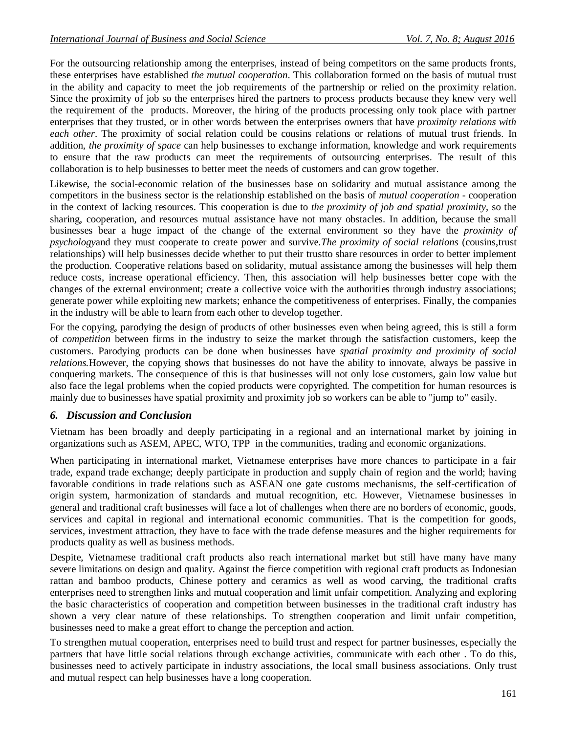For the outsourcing relationship among the enterprises, instead of being competitors on the same products fronts, these enterprises have established *the mutual cooperation*. This collaboration formed on the basis of mutual trust in the ability and capacity to meet the job requirements of the partnership or relied on the proximity relation. Since the proximity of job so the enterprises hired the partners to process products because they knew very well the requirement of the products. Moreover, the hiring of the products processing only took place with partner enterprises that they trusted, or in other words between the enterprises owners that have *proximity relations with each other*. The proximity of social relation could be cousins relations or relations of mutual trust friends. In addition, *the proximity of space* can help businesses to exchange information, knowledge and work requirements to ensure that the raw products can meet the requirements of outsourcing enterprises. The result of this collaboration is to help businesses to better meet the needs of customers and can grow together.

Likewise, the social-economic relation of the businesses base on solidarity and mutual assistance among the competitors in the business sector is the relationship established on the basis of *mutual cooperation* - cooperation in the context of lacking resources. This cooperation is due to *the proximity of job and spatial proximity*, so the sharing, cooperation, and resources mutual assistance have not many obstacles. In addition, because the small businesses bear a huge impact of the change of the external environment so they have the *proximity of psychology*and they must cooperate to create power and survive.*The proximity of social relations* (cousins,trust relationships) will help businesses decide whether to put their trustto share resources in order to better implement the production. Cooperative relations based on solidarity, mutual assistance among the businesses will help them reduce costs, increase operational efficiency. Then, this association will help businesses better cope with the changes of the external environment; create a collective voice with the authorities through industry associations; generate power while exploiting new markets; enhance the competitiveness of enterprises. Finally, the companies in the industry will be able to learn from each other to develop together.

For the copying, parodying the design of products of other businesses even when being agreed, this is still a form of *competition* between firms in the industry to seize the market through the satisfaction customers, keep the customers. Parodying products can be done when businesses have *spatial proximity and proximity of social relations.*However, the copying shows that businesses do not have the ability to innovate, always be passive in conquering markets. The consequence of this is that businesses will not only lose customers, gain low value but also face the legal problems when the copied products were copyrighted*.* The competition for human resources is mainly due to businesses have spatial proximity and proximity job so workers can be able to "jump to" easily.

### *6. Discussion and Conclusion*

Vietnam has been broadly and deeply participating in a regional and an international market by joining in organizations such as ASEM, APEC, WTO, TPP in the communities, trading and economic organizations.

When participating in international market, Vietnamese enterprises have more chances to participate in a fair trade, expand trade exchange; deeply participate in production and supply chain of region and the world; having favorable conditions in trade relations such as ASEAN one gate customs mechanisms, the self-certification of origin system, harmonization of standards and mutual recognition, etc. However, Vietnamese businesses in general and traditional craft businesses will face a lot of challenges when there are no borders of economic, goods, services and capital in regional and international economic communities. That is the competition for goods, services, investment attraction, they have to face with the trade defense measures and the higher requirements for products quality as well as business methods.

Despite, Vietnamese traditional craft products also reach international market but still have many have many severe limitations on design and quality. Against the fierce competition with regional craft products as Indonesian rattan and bamboo products, Chinese pottery and ceramics as well as wood carving, the traditional crafts enterprises need to strengthen links and mutual cooperation and limit unfair competition. Analyzing and exploring the basic characteristics of cooperation and competition between businesses in the traditional craft industry has shown a very clear nature of these relationships. To strengthen cooperation and limit unfair competition, businesses need to make a great effort to change the perception and action.

To strengthen mutual cooperation, enterprises need to build trust and respect for partner businesses, especially the partners that have little social relations through exchange activities, communicate with each other . To do this, businesses need to actively participate in industry associations, the local small business associations. Only trust and mutual respect can help businesses have a long cooperation.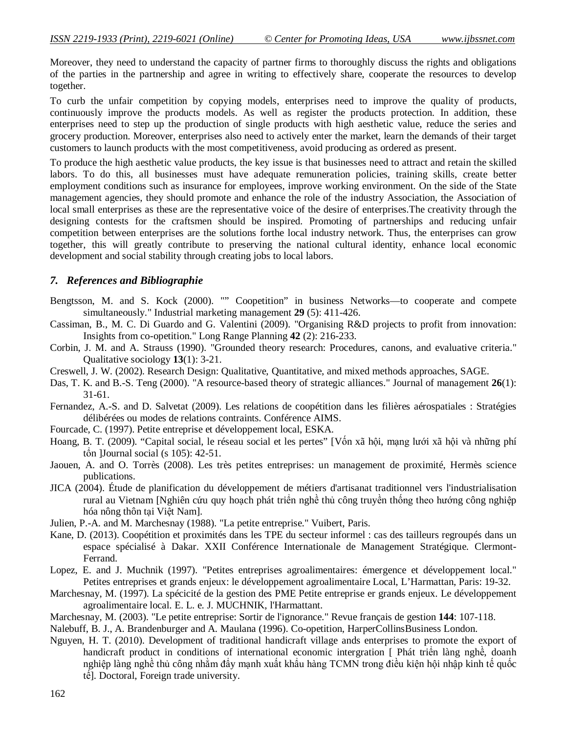Moreover, they need to understand the capacity of partner firms to thoroughly discuss the rights and obligations of the parties in the partnership and agree in writing to effectively share, cooperate the resources to develop together.

To curb the unfair competition by copying models, enterprises need to improve the quality of products, continuously improve the products models. As well as register the products protection. In addition, these enterprises need to step up the production of single products with high aesthetic value, reduce the series and grocery production. Moreover, enterprises also need to actively enter the market, learn the demands of their target customers to launch products with the most competitiveness, avoid producing as ordered as present.

To produce the high aesthetic value products, the key issue is that businesses need to attract and retain the skilled labors. To do this, all businesses must have adequate remuneration policies, training skills, create better employment conditions such as insurance for employees, improve working environment. On the side of the State management agencies, they should promote and enhance the role of the industry Association, the Association of local small enterprises as these are the representative voice of the desire of enterprises.The creativity through the designing contests for the craftsmen should be inspired. Promoting of partnerships and reducing unfair competition between enterprises are the solutions forthe local industry network. Thus, the enterprises can grow together, this will greatly contribute to preserving the national cultural identity, enhance local economic development and social stability through creating jobs to local labors.

### *7. References and Bibliographie*

- Bengtsson, M. and S. Kock (2000). "" Coopetition" in business Networks—to cooperate and compete simultaneously." Industrial marketing management **29** (5): 411-426.
- Cassiman, B., M. C. Di Guardo and G. Valentini (2009). "Organising R&D projects to profit from innovation: Insights from co-opetition." Long Range Planning **42** (2): 216-233.
- Corbin, J. M. and A. Strauss (1990). "Grounded theory research: Procedures, canons, and evaluative criteria." Qualitative sociology **13**(1): 3-21.
- Creswell, J. W. (2002). Research Design: Qualitative, Quantitative, and mixed methods approaches, SAGE.
- Das, T. K. and B.-S. Teng (2000). "A resource-based theory of strategic alliances." Journal of management **26**(1): 31-61.
- Fernandez, A.-S. and D. Salvetat (2009). Les relations de coopétition dans les filières aérospatiales : Stratégies délibérées ou modes de relations contraints. Conférence AIMS.
- Fourcade, C. (1997). Petite entreprise et développement local, ESKA.
- Hoang, B. T. (2009). "Capital social, le réseau social et les pertes" [Vốn xã hội, mạng lưới xã hội và những phí tổn ]Journal social (s 105): 42-51.
- Jaouen, A. and O. Torrès (2008). Les très petites entreprises: un management de proximité, Hermès science publications.
- JICA (2004). Étude de planification du développement de métiers d'artisanat traditionnel vers l'industrialisation rural au Vietnam [Nghiên cứu quy hoạch phát triển nghề thủ công truyền thống theo hướng công nghiệp hóa nông thôn tại Việt Nam].
- Julien, P.-A. and M. Marchesnay (1988). "La petite entreprise." Vuibert, Paris.
- Kane, D. (2013). Coopétition et proximités dans les TPE du secteur informel : cas des tailleurs regroupés dans un espace spécialisé à Dakar. XXII Conférence Internationale de Management Stratégique. Clermont-Ferrand.
- Lopez, E. and J. Muchnik (1997). "Petites entreprises agroalimentaires: émergence et développement local." Petites entreprises et grands enjeux: le développement agroalimentaire Local, L'Harmattan, Paris: 19-32.
- Marchesnay, M. (1997). La spécicité de la gestion des PME Petite entreprise er grands enjeux. Le développement agroalimentaire local. E. L. e. J. MUCHNIK, l'Harmattant.
- Marchesnay, M. (2003). "Le petite entreprise: Sortir de l'ignorance." Revue français de gestion **144**: 107-118.
- Nalebuff, B. J., A. Brandenburger and A. Maulana (1996). Co-opetition, HarperCollinsBusiness London.
- Nguyen, H. T. (2010). Development of traditional handicraft village ands enterprises to promote the export of handicraft product in conditions of international economic intergration [ Phát triển làng nghề, doanh nghiệp làng nghề thủ công nhằm đẩy mạnh xuất khẩu hàng TCMN trong điều kiện hội nhập kinh tế quốc tế]. Doctoral, Foreign trade university.